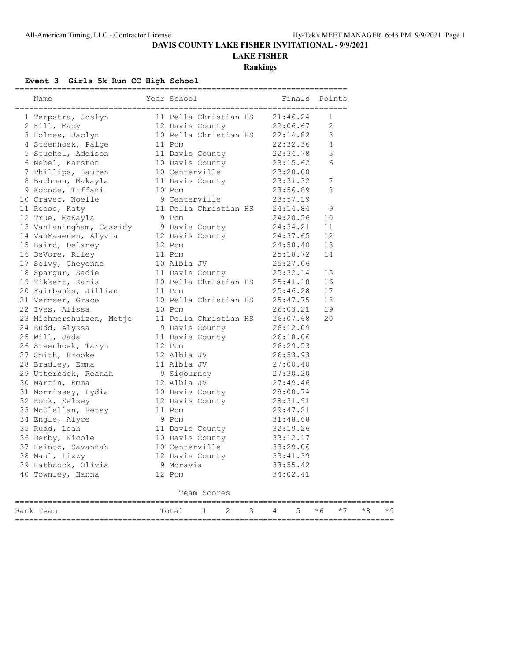### **DAVIS COUNTY LAKE FISHER INVITATIONAL - 9/9/2021**

# **LAKE FISHER**

**Rankings**

#### **Event 3 Girls 5k Run CC High School**

| Name                                                                                                                                                                                                                        |        | Year School                          |                                                                     |   |          |   | Finals Points |      |      |  |
|-----------------------------------------------------------------------------------------------------------------------------------------------------------------------------------------------------------------------------|--------|--------------------------------------|---------------------------------------------------------------------|---|----------|---|---------------|------|------|--|
| 1 Terpstra, Joslyn 11 Pella Christian HS 21:46.24<br>2 Hill, Macy 12 Davis County 22:06.67<br>3 Holmes, Jaclyn 10 Pella Christian HS 22:14.82                                                                               |        |                                      |                                                                     |   |          |   | $\mathbf{1}$  |      |      |  |
| 2 Hill, Macy<br>3 Holmes, Jaclyn                                                                                                                                                                                            |        |                                      |                                                                     |   | 22:06.67 |   | 2             |      |      |  |
|                                                                                                                                                                                                                             |        |                                      |                                                                     |   |          |   | 3             |      |      |  |
| 4 Steenhoek, Paige 11 Pcm 22:32.36<br>5 Stuchel, Addison 11 Davis County 22:34.78<br>6 Nebel, Karston 10 Davis County 23:15.62<br>7 Phillips, Lauren 10 Centerville 23:20.00<br>8 Bachman, Makayla 11 Davis County 23:31.32 |        |                                      |                                                                     |   |          |   | 4             |      |      |  |
|                                                                                                                                                                                                                             |        |                                      |                                                                     |   |          |   | 5             |      |      |  |
|                                                                                                                                                                                                                             |        |                                      |                                                                     |   |          |   | 6             |      |      |  |
|                                                                                                                                                                                                                             |        |                                      |                                                                     |   |          |   |               |      |      |  |
|                                                                                                                                                                                                                             |        |                                      |                                                                     |   |          |   | 7             |      |      |  |
| 9 Koonce, Tiffani                                                                                                                                                                                                           | 10 Pcm |                                      |                                                                     |   | 23:56.89 |   | 8             |      |      |  |
| 10 Craver, Noelle                                                                                                                                                                                                           |        |                                      | 9 Centerville                                                       |   | 23:57.19 |   |               |      |      |  |
| 11 Roose, Katy                                                                                                                                                                                                              |        |                                      | 11 Pella Christian HS 24:14.84                                      |   |          |   | 9             |      |      |  |
| 12 True, MaKayla                                                                                                                                                                                                            |        | 9 Pcm                                |                                                                     |   | 24:20.56 |   | 10            |      |      |  |
| 13 VanLaningham, Cassidy 9 Davis County 24:34.21                                                                                                                                                                            |        |                                      |                                                                     |   |          |   | 11            |      |      |  |
| 14 VanMaaenen, Alyvia 12 Davis County                                                                                                                                                                                       |        |                                      |                                                                     |   | 24:37.65 |   | 12            |      |      |  |
| 15 Baird, Delaney                                                                                                                                                                                                           |        | 12 Pcm                               |                                                                     |   | 24:58.40 |   | 13            |      |      |  |
| 16 DeVore, Riley                                                                                                                                                                                                            |        |                                      |                                                                     |   | 25:18.72 |   | 14            |      |      |  |
| 17 Selvy, Cheyenne<br>Andrews Sadie                                                                                                                                                                                         |        |                                      |                                                                     |   |          |   |               |      |      |  |
| 18 Spargur, Sadie                                                                                                                                                                                                           |        |                                      | 11 Pcm 25:18.72<br>10 Albia JV 25:27.06<br>11 Davis County 25:32.14 |   |          |   | 15            |      |      |  |
| 19 Fikkert, Karis                                                                                                                                                                                                           |        |                                      |                                                                     |   |          |   |               |      |      |  |
| 20 Fairbanks, Jillian                                                                                                                                                                                                       |        |                                      |                                                                     |   |          |   |               |      |      |  |
| 21 Vermeer, Grace                                                                                                                                                                                                           |        |                                      | 10 Pella Christian HS 25:47.75 18                                   |   |          |   |               |      |      |  |
| 22 Ives, Alissa                                                                                                                                                                                                             |        | 10 Pcm                               |                                                                     |   | 26:03.21 |   | 19            |      |      |  |
| 23 Michmershuizen, Metje 11 Pella Christian HS 26:07.68                                                                                                                                                                     |        |                                      |                                                                     |   |          |   | 20            |      |      |  |
| 24 Rudd, Alyssa                                                                                                                                                                                                             |        |                                      | 9 Davis County<br>11 Davis County<br>11 Davis County                |   |          |   |               |      |      |  |
| 25 Will, Jada                                                                                                                                                                                                               |        |                                      | 11 Davis County                                                     |   |          |   |               |      |      |  |
| 26 Steenhoek, Taryn                                                                                                                                                                                                         |        | 12 Pcm<br>12 Albia JV<br>11 Albia JV |                                                                     |   | 26:29.53 |   |               |      |      |  |
| 27 Smith, Brooke                                                                                                                                                                                                            |        |                                      |                                                                     |   | 26:53.93 |   |               |      |      |  |
| 28 Bradley, Emma                                                                                                                                                                                                            |        |                                      |                                                                     |   | 27:00.40 |   |               |      |      |  |
| 29 Utterback, Reanah                                                                                                                                                                                                        |        |                                      | 9 Sigourney<br>12 Albie TI                                          |   | 27:30.20 |   |               |      |      |  |
| 30 Martin, Emma                                                                                                                                                                                                             |        | 12 Albia JV                          |                                                                     |   | 27:49.46 |   |               |      |      |  |
|                                                                                                                                                                                                                             |        |                                      |                                                                     |   | 28:00.74 |   |               |      |      |  |
|                                                                                                                                                                                                                             |        |                                      |                                                                     |   | 28:31.91 |   |               |      |      |  |
| 33 McClellan, Betsy                                                                                                                                                                                                         | 11 Pcm |                                      |                                                                     |   | 29:47.21 |   |               |      |      |  |
|                                                                                                                                                                                                                             |        |                                      |                                                                     |   | 31:48.68 |   |               |      |      |  |
| 34 Engle, Alyce 9 Pcm<br>35 Rudd, Leah 11 Davis County                                                                                                                                                                      |        |                                      |                                                                     |   | 32:19.26 |   |               |      |      |  |
| 36 Derby, Nicole                                                                                                                                                                                                            |        |                                      | 10 Davis County                                                     |   | 33:12.17 |   |               |      |      |  |
| 37 Heintz, Savannah                                                                                                                                                                                                         |        |                                      |                                                                     |   | 33:29.06 |   |               |      |      |  |
| 38 Maul, Lizzy                                                                                                                                                                                                              |        |                                      | 10 Centerville<br>12 Davis County                                   |   | 33:41.39 |   |               |      |      |  |
| 39 Hathcock, Olivia                                                                                                                                                                                                         |        | 9 Moravia                            |                                                                     |   | 33:55.42 |   |               |      |      |  |
| 40 Townley, Hanna                                                                                                                                                                                                           |        | 12 Pcm                               |                                                                     |   | 34:02.41 |   |               |      |      |  |
|                                                                                                                                                                                                                             |        |                                      | Team Scores                                                         |   |          |   |               |      |      |  |
| Rank Team                                                                                                                                                                                                                   |        | Total                                | $\mathbf{1}$<br>2                                                   | 3 | 4        | 5 | $*6$          | $*7$ | $*8$ |  |

=================================================================================